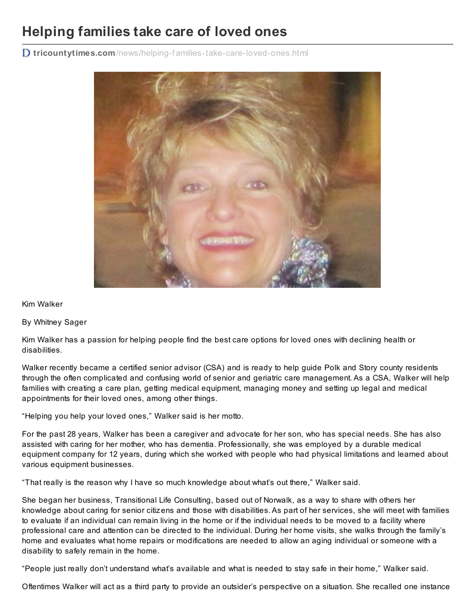## **Helping families take care of loved ones**

**D** tricountytimes.com/news/helping-f[amilies-take-care-loved-ones.html](http://tricountytimes.com/news/helping-families-take-care-loved-ones.html)



## Kim Walker

## By Whitney Sager

Kim Walker has a passion for helping people find the best care options for loved ones with declining health or disabilities.

Walker recently became a certified senior advisor (CSA) and is ready to help guide Polk and Story county residents through the often complicated and confusing world of senior and geriatric care management. As a CSA, Walker will help families with creating a care plan, getting medical equipment, managing money and setting up legal and medical appointments for their loved ones, among other things.

"Helping you help your loved ones," Walker said is her motto.

For the past 28 years, Walker has been a caregiver and advocate for her son, who has special needs. She has also assisted with caring for her mother, who has dementia. Professionally, she was employed by a durable medical equipment company for 12 years, during which she worked with people who had physical limitations and learned about various equipment businesses.

"That really is the reason why I have so much knowledge about what's out there," Walker said.

She began her business, Transitional Life Consulting, based out of Norwalk, as a way to share with others her knowledge about caring for senior citizens and those with disabilities. As part of her services, she will meet with families to evaluate if an individual can remain living in the home or if the individual needs to be moved to a facility where professional care and attention can be directed to the individual. During her home visits, she walks through the family's home and evaluates what home repairs or modifications are needed to allow an aging individual or someone with a disability to safely remain in the home.

"People just really don't understand what's available and what is needed to stay safe in their home," Walker said.

Oftentimes Walker will act as a third party to provide an outsider's perspective on a situation. She recalled one instance